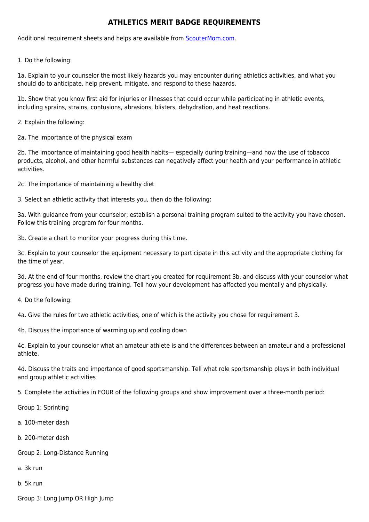## **ATHLETICS MERIT BADGE REQUIREMENTS**

Additional requirement sheets and helps are available from [ScouterMom.com](http://scoutermom.com).

1. Do the following:

1a. Explain to your counselor the most likely hazards you may encounter during athletics activities, and what you should do to anticipate, help prevent, mitigate, and respond to these hazards.

1b. Show that you know first aid for injuries or illnesses that could occur while participating in athletic events, including sprains, strains, contusions, abrasions, blisters, dehydration, and heat reactions.

2. Explain the following:

2a. The importance of the physical exam

2b. The importance of maintaining good health habits— especially during training—and how the use of tobacco products, alcohol, and other harmful substances can negatively affect your health and your performance in athletic activities.

2c. The importance of maintaining a healthy diet

3. Select an athletic activity that interests you, then do the following:

3a. With guidance from your counselor, establish a personal training program suited to the activity you have chosen. Follow this training program for four months.

3b. Create a chart to monitor your progress during this time.

3c. Explain to your counselor the equipment necessary to participate in this activity and the appropriate clothing for the time of year.

3d. At the end of four months, review the chart you created for requirement 3b, and discuss with your counselor what progress you have made during training. Tell how your development has affected you mentally and physically.

4. Do the following:

4a. Give the rules for two athletic activities, one of which is the activity you chose for requirement 3.

4b. Discuss the importance of warming up and cooling down

4c. Explain to your counselor what an amateur athlete is and the differences between an amateur and a professional athlete.

4d. Discuss the traits and importance of good sportsmanship. Tell what role sportsmanship plays in both individual and group athletic activities

5. Complete the activities in FOUR of the following groups and show improvement over a three-month period:

Group 1: Sprinting

a. 100-meter dash

b. 200-meter dash

- Group 2: Long-Distance Running
- a. 3k run

b. 5k run

Group 3: Long Jump OR High Jump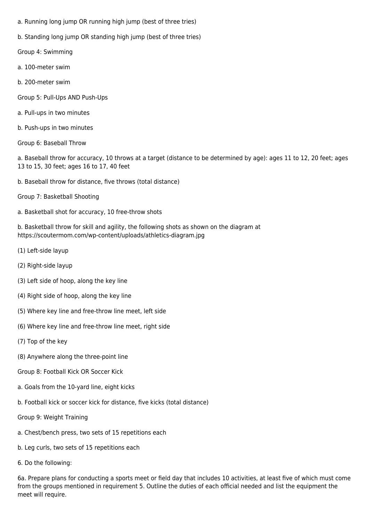- a. Running long jump OR running high jump (best of three tries)
- b. Standing long jump OR standing high jump (best of three tries)
- Group 4: Swimming
- a. 100-meter swim
- b. 200-meter swim
- Group 5: Pull-Ups AND Push-Ups
- a. Pull-ups in two minutes
- b. Push-ups in two minutes
- Group 6: Baseball Throw

a. Baseball throw for accuracy, 10 throws at a target (distance to be determined by age): ages 11 to 12, 20 feet; ages 13 to 15, 30 feet; ages 16 to 17, 40 feet

- b. Baseball throw for distance, five throws (total distance)
- Group 7: Basketball Shooting
- a. Basketball shot for accuracy, 10 free-throw shots

b. Basketball throw for skill and agility, the following shots as shown on the diagram at https://scoutermom.com/wp-content/uploads/athletics-diagram.jpg

- (1) Left-side layup
- (2) Right-side layup
- (3) Left side of hoop, along the key line
- (4) Right side of hoop, along the key line
- (5) Where key line and free-throw line meet, left side
- (6) Where key line and free-throw line meet, right side
- (7) Top of the key
- (8) Anywhere along the three-point line
- Group 8: Football Kick OR Soccer Kick
- a. Goals from the 10-yard line, eight kicks
- b. Football kick or soccer kick for distance, five kicks (total distance)
- Group 9: Weight Training
- a. Chest/bench press, two sets of 15 repetitions each
- b. Leg curls, two sets of 15 repetitions each
- 6. Do the following:

6a. Prepare plans for conducting a sports meet or field day that includes 10 activities, at least five of which must come from the groups mentioned in requirement 5. Outline the duties of each official needed and list the equipment the meet will require.